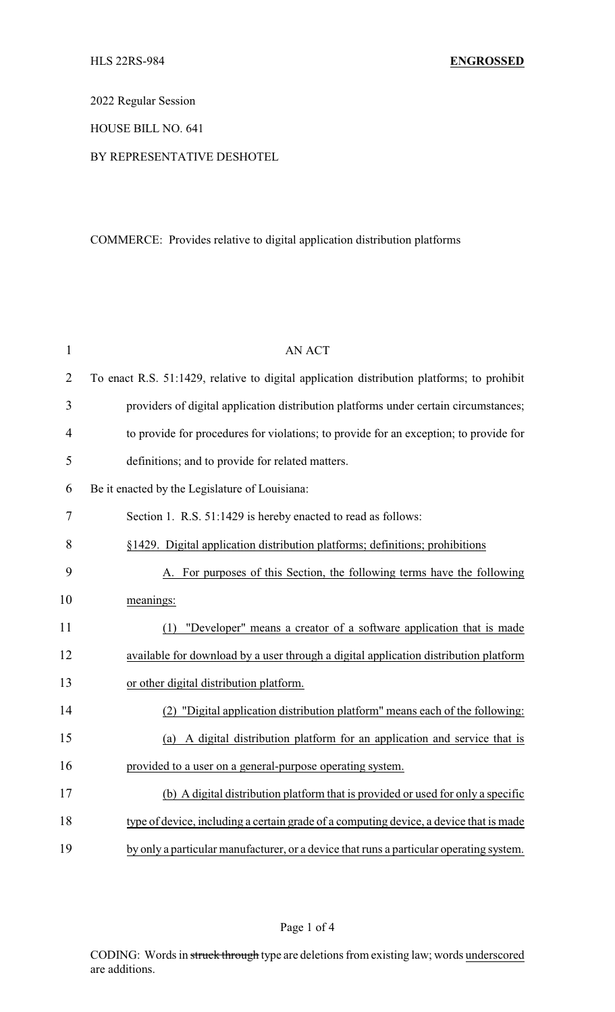2022 Regular Session

HOUSE BILL NO. 641

## BY REPRESENTATIVE DESHOTEL

## COMMERCE: Provides relative to digital application distribution platforms

| $\mathbf{1}$   | <b>AN ACT</b>                                                                              |
|----------------|--------------------------------------------------------------------------------------------|
| $\overline{2}$ | To enact R.S. 51:1429, relative to digital application distribution platforms; to prohibit |
| 3              | providers of digital application distribution platforms under certain circumstances;       |
| $\overline{4}$ | to provide for procedures for violations; to provide for an exception; to provide for      |
| 5              | definitions; and to provide for related matters.                                           |
| 6              | Be it enacted by the Legislature of Louisiana:                                             |
| 7              | Section 1. R.S. 51:1429 is hereby enacted to read as follows:                              |
| 8              | §1429. Digital application distribution platforms; definitions; prohibitions               |
| 9              | A. For purposes of this Section, the following terms have the following                    |
| 10             | meanings:                                                                                  |
| 11             | "Developer" means a creator of a software application that is made<br>(1)                  |
| 12             | available for download by a user through a digital application distribution platform       |
| 13             | or other digital distribution platform.                                                    |
| 14             | (2) "Digital application distribution platform" means each of the following:               |
| 15             | (a) A digital distribution platform for an application and service that is                 |
| 16             | provided to a user on a general-purpose operating system.                                  |
| 17             | (b) A digital distribution platform that is provided or used for only a specific           |
| 18             | type of device, including a certain grade of a computing device, a device that is made     |
| 19             | by only a particular manufacturer, or a device that runs a particular operating system.    |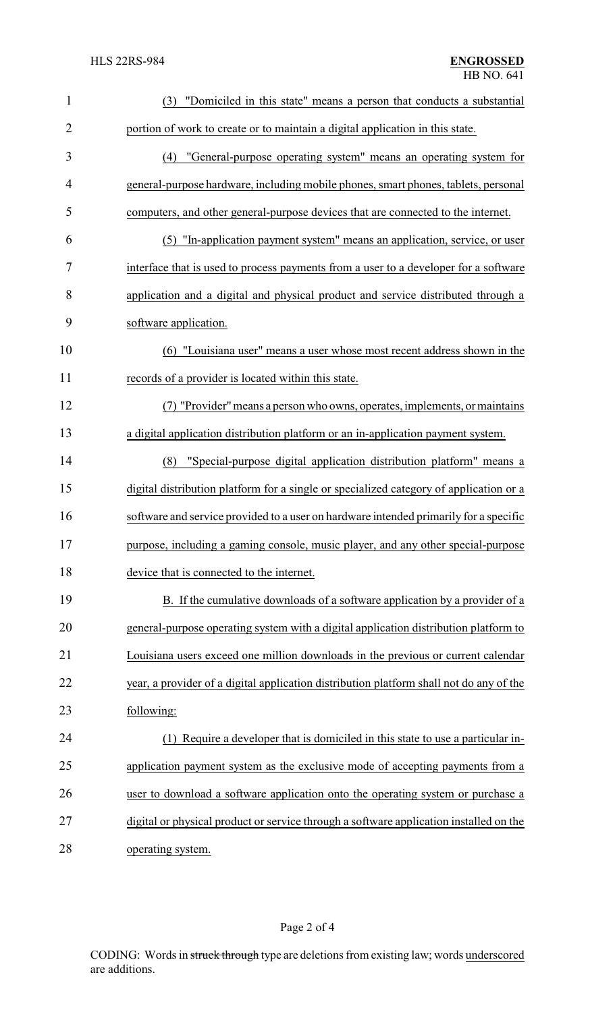| $\mathbf{1}$   | "Domiciled in this state" means a person that conducts a substantial<br>(3)             |
|----------------|-----------------------------------------------------------------------------------------|
| $\overline{2}$ | portion of work to create or to maintain a digital application in this state.           |
| 3              | "General-purpose operating system" means an operating system for<br>(4)                 |
| $\overline{4}$ | general-purpose hardware, including mobile phones, smart phones, tablets, personal      |
| 5              | computers, and other general-purpose devices that are connected to the internet.        |
| 6              | "In-application payment system" means an application, service, or user<br>(5)           |
| 7              | interface that is used to process payments from a user to a developer for a software    |
| 8              | application and a digital and physical product and service distributed through a        |
| 9              | software application.                                                                   |
| 10             | "Louisiana user" means a user whose most recent address shown in the<br>(6)             |
| 11             | records of a provider is located within this state.                                     |
| 12             | (7) "Provider" means a person who owns, operates, implements, or maintains              |
| 13             | a digital application distribution platform or an in-application payment system.        |
| 14             | "Special-purpose digital application distribution platform" means a<br>(8)              |
| 15             | digital distribution platform for a single or specialized category of application or a  |
| 16             | software and service provided to a user on hardware intended primarily for a specific   |
| 17             | purpose, including a gaming console, music player, and any other special-purpose        |
| 18             | device that is connected to the internet.                                               |
| 19             | B. If the cumulative downloads of a software application by a provider of a             |
| 20             | general-purpose operating system with a digital application distribution platform to    |
| 21             | Louisiana users exceed one million downloads in the previous or current calendar        |
| 22             | year, a provider of a digital application distribution platform shall not do any of the |
| 23             | following:                                                                              |
| 24             | Require a developer that is domiciled in this state to use a particular in-<br>(1)      |
| 25             | application payment system as the exclusive mode of accepting payments from a           |
| 26             | user to download a software application onto the operating system or purchase a         |
| 27             | digital or physical product or service through a software application installed on the  |
| 28             | operating system.                                                                       |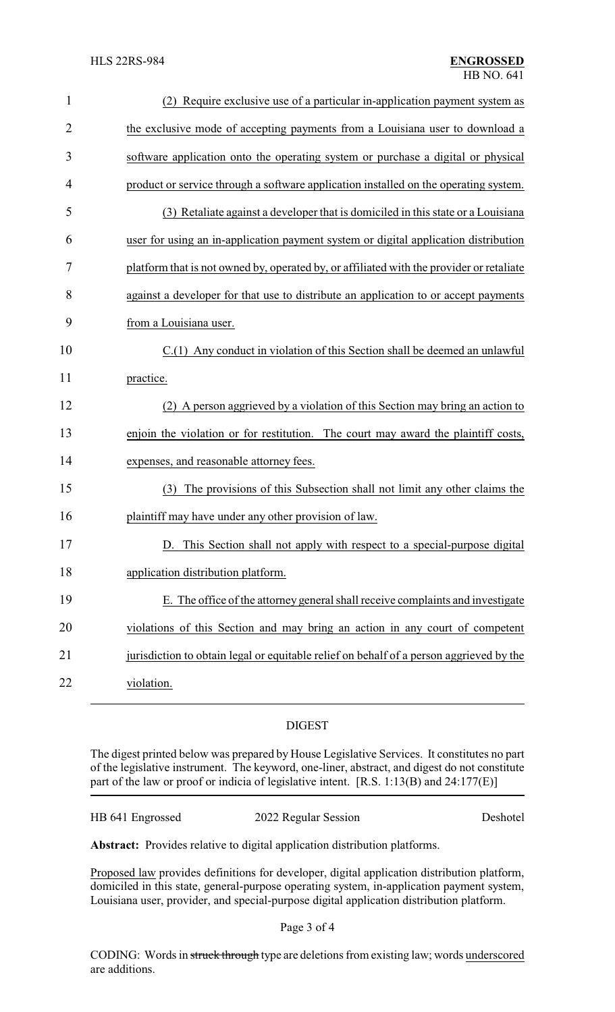| $\mathbf{1}$   | (2) Require exclusive use of a particular in-application payment system as               |
|----------------|------------------------------------------------------------------------------------------|
| $\overline{2}$ | the exclusive mode of accepting payments from a Louisiana user to download a             |
| 3              | software application onto the operating system or purchase a digital or physical         |
| 4              | product or service through a software application installed on the operating system.     |
| 5              | (3) Retaliate against a developer that is domiciled in this state or a Louisiana         |
| 6              | user for using an in-application payment system or digital application distribution      |
| 7              | platform that is not owned by, operated by, or affiliated with the provider or retaliate |
| 8              | against a developer for that use to distribute an application to or accept payments      |
| 9              | from a Louisiana user.                                                                   |
| 10             | C.(1) Any conduct in violation of this Section shall be deemed an unlawful               |
| 11             | practice.                                                                                |
| 12             | A person aggrieved by a violation of this Section may bring an action to                 |
| 13             | enjoin the violation or for restitution. The court may award the plaintiff costs,        |
| 14             | expenses, and reasonable attorney fees.                                                  |
| 15             | The provisions of this Subsection shall not limit any other claims the<br>(3)            |
| 16             | plaintiff may have under any other provision of law.                                     |
| 17             | D. This Section shall not apply with respect to a special-purpose digital                |
| 18             | application distribution platform.                                                       |
| 19             | E. The office of the attorney general shall receive complaints and investigate           |
| 20             | violations of this Section and may bring an action in any court of competent             |
| 21             | jurisdiction to obtain legal or equitable relief on behalf of a person aggrieved by the  |
| 22             | violation.                                                                               |

## DIGEST

The digest printed below was prepared by House Legislative Services. It constitutes no part of the legislative instrument. The keyword, one-liner, abstract, and digest do not constitute part of the law or proof or indicia of legislative intent. [R.S. 1:13(B) and 24:177(E)]

| HB 641 Engrossed | 2022 Regular Session | Deshotel |
|------------------|----------------------|----------|
|------------------|----------------------|----------|

**Abstract:** Provides relative to digital application distribution platforms.

Proposed law provides definitions for developer, digital application distribution platform, domiciled in this state, general-purpose operating system, in-application payment system, Louisiana user, provider, and special-purpose digital application distribution platform.

Page 3 of 4

CODING: Words in struck through type are deletions from existing law; words underscored are additions.